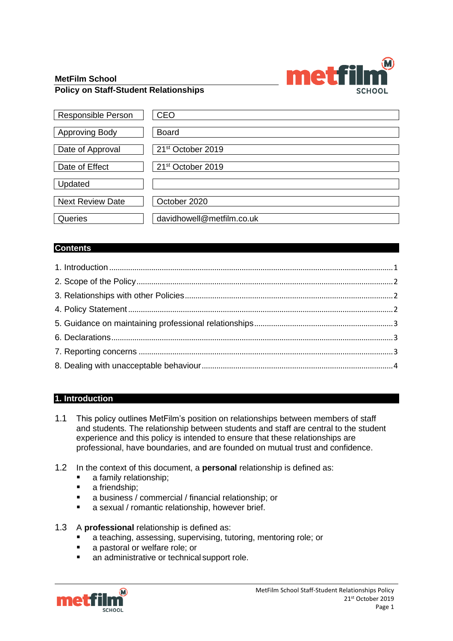

#### **MetFilm School Policy on Staff-Student Relationships**

| <b>Responsible Person</b> | <b>CEO</b>                    |
|---------------------------|-------------------------------|
| <b>Approving Body</b>     | <b>Board</b>                  |
| Date of Approval          | 21 <sup>st</sup> October 2019 |
| Date of Effect            | 21 <sup>st</sup> October 2019 |
| Updated                   |                               |
| <b>Next Review Date</b>   | October 2020                  |
| Queries                   | davidhowell@metfilm.co.uk     |

# **Contents**

# <span id="page-0-0"></span>**1. Introduction**

- 1.1 This policy outlines MetFilm's position on relationships between members of staff and students. The relationship between students and staff are central to the student experience and this policy is intended to ensure that these relationships are professional, have boundaries, and are founded on mutual trust and confidence.
- 1.2 In the context of this document, a **personal** relationship is defined as:
	- a family relationship;
	- a friendship;
	- a business / commercial / financial relationship; or
	- a sexual / romantic relationship, however brief.
- 1.3 A **professional** relationship is defined as:
	- a teaching, assessing, supervising, tutoring, mentoring role; or
	- a pastoral or welfare role; or
	- an administrative or technical support role.

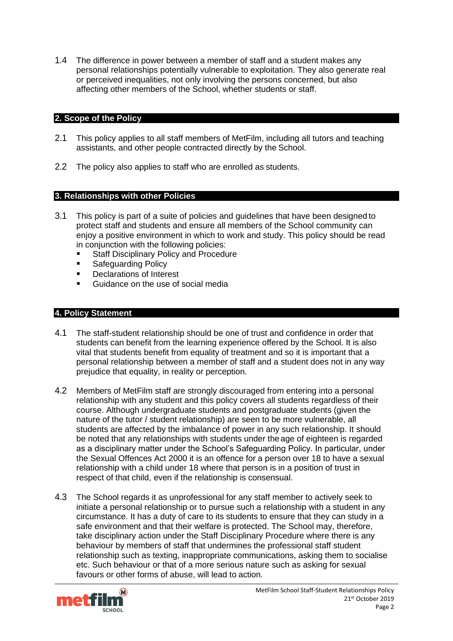1.4 The difference in power between a member of staff and a student makes any personal relationships potentially vulnerable to exploitation. They also generate real or perceived inequalities, not only involving the persons concerned, but also affecting other members of the School, whether students or staff.

## <span id="page-1-0"></span>**2. Scope of the Policy**

- 2.1 This policy applies to all staff members of MetFilm, including all tutors and teaching assistants, and other people contracted directly by the School.
- 2.2 The policy also applies to staff who are enrolled as students.

## <span id="page-1-1"></span>**3. Relationships with other Policies**

- 3.1 This policy is part of a suite of policies and guidelines that have been designed to protect staff and students and ensure all members of the School community can enjoy a positive environment in which to work and study. This policy should be read in conjunction with the following policies:
	- Staff Disciplinary Policy and Procedure
	- Safeguarding Policy
	- Declarations of Interest
	- Guidance on the use of social media

## <span id="page-1-2"></span>**4. Policy Statement**

- 4.1 The staff-student relationship should be one of trust and confidence in order that students can benefit from the learning experience offered by the School. It is also vital that students benefit from equality of treatment and so it is important that a personal relationship between a member of staff and a student does not in any way prejudice that equality, in reality or perception.
- 4.2 Members of MetFilm staff are strongly discouraged from entering into a personal relationship with any student and this policy covers all students regardless of their course. Although undergraduate students and postgraduate students (given the nature of the tutor / student relationship) are seen to be more vulnerable, all students are affected by the imbalance of power in any such relationship. It should be noted that any relationships with students under theage of eighteen is regarded as a disciplinary matter under the School's Safeguarding Policy. In particular, under the Sexual Offences Act 2000 it is an offence for a person over 18 to have a sexual relationship with a child under 18 where that person is in a position of trust in respect of that child, even if the relationship is consensual.
- 4.3 The School regards it as unprofessional for any staff member to actively seek to initiate a personal relationship or to pursue such a relationship with a student in any circumstance. It has a duty of care to its students to ensure that they can study in a safe environment and that their welfare is protected. The School may, therefore, take disciplinary action under the Staff Disciplinary Procedure where there is any behaviour by members of staff that undermines the professional staff student relationship such as texting, inappropriate communications, asking them to socialise etc. Such behaviour or that of a more serious nature such as asking for sexual favours or other forms of abuse, will lead to action.

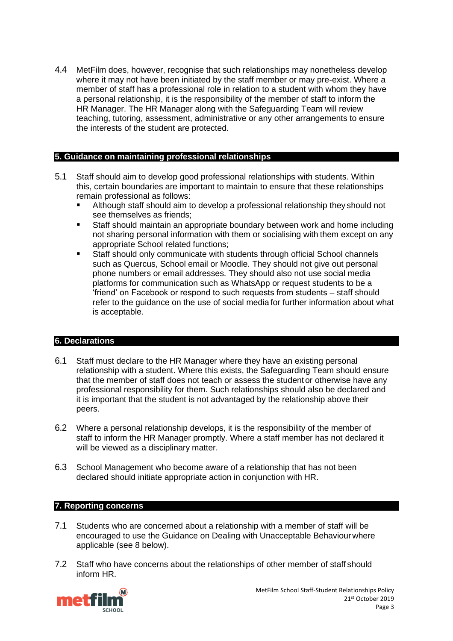4.4 MetFilm does, however, recognise that such relationships may nonetheless develop where it may not have been initiated by the staff member or may pre-exist. Where a member of staff has a professional role in relation to a student with whom they have a personal relationship, it is the responsibility of the member of staff to inform the HR Manager. The HR Manager along with the Safeguarding Team will review teaching, tutoring, assessment, administrative or any other arrangements to ensure the interests of the student are protected.

## <span id="page-2-0"></span>**5. Guidance on maintaining professional relationships**

- 5.1 Staff should aim to develop good professional relationships with students. Within this, certain boundaries are important to maintain to ensure that these relationships remain professional as follows:
	- Although staff should aim to develop a professional relationship they should not see themselves as friends;
	- Staff should maintain an appropriate boundary between work and home including not sharing personal information with them or socialising with them except on any appropriate School related functions;
	- Staff should only communicate with students through official School channels such as Quercus, School email or Moodle. They should not give out personal phone numbers or email addresses. They should also not use social media platforms for communication such as WhatsApp or request students to be a 'friend' on Facebook or respond to such requests from students – staff should refer to the guidance on the use of social media for further information about what is acceptable.

#### <span id="page-2-1"></span>**6. Declarations**

- 6.1 Staff must declare to the HR Manager where they have an existing personal relationship with a student. Where this exists, the Safeguarding Team should ensure that the member of staff does not teach or assess the student or otherwise have any professional responsibility for them. Such relationships should also be declared and it is important that the student is not advantaged by the relationship above their peers.
- 6.2 Where a personal relationship develops, it is the responsibility of the member of staff to inform the HR Manager promptly. Where a staff member has not declared it will be viewed as a disciplinary matter.
- 6.3 School Management who become aware of a relationship that has not been declared should initiate appropriate action in conjunction with HR.

#### <span id="page-2-2"></span>**7. Reporting concerns**

- 7.1 Students who are concerned about a relationship with a member of staff will be encouraged to use the Guidance on Dealing with Unacceptable Behaviourwhere applicable (see 8 below).
- 7.2 Staff who have concerns about the relationships of other member of staff should inform HR.